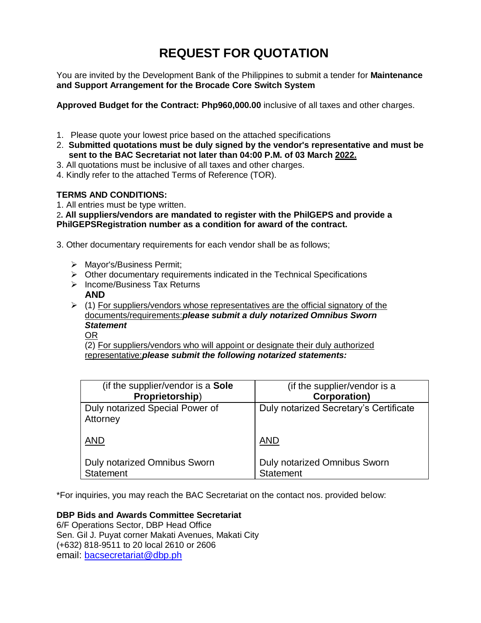# **REQUEST FOR QUOTATION**

You are invited by the Development Bank of the Philippines to submit a tender for **Maintenance and Support Arrangement for the Brocade Core Switch System**

**Approved Budget for the Contract: Php960,000.00** inclusive of all taxes and other charges.

- 1. Please quote your lowest price based on the attached specifications
- 2. **Submitted quotations must be duly signed by the vendor's representative and must be sent to the BAC Secretariat not later than 04:00 P.M. of 03 March 2022.**
- 3. All quotations must be inclusive of all taxes and other charges.
- 4. Kindly refer to the attached Terms of Reference (TOR).

# **TERMS AND CONDITIONS:**

1. All entries must be type written.

2**. All suppliers/vendors are mandated to register with the PhilGEPS and provide a PhilGEPSRegistration number as a condition for award of the contract.**

3. Other documentary requirements for each vendor shall be as follows;

- Mayor's/Business Permit;
- $\triangleright$  Other documentary requirements indicated in the Technical Specifications
- $\triangleright$  Income/Business Tax Returns
- **AND**
- $\triangleright$  (1) For suppliers/vendors whose representatives are the official signatory of the documents/requirements:*please submit a duly notarized Omnibus Sworn Statement*

OR

(2) For suppliers/vendors who will appoint or designate their duly authorized representative:*please submit the following notarized statements:*

| (if the supplier/vendor is a Sole           | (if the supplier/vendor is a           |
|---------------------------------------------|----------------------------------------|
| Proprietorship)                             | <b>Corporation)</b>                    |
| Duly notarized Special Power of<br>Attorney | Duly notarized Secretary's Certificate |
| <b>AND</b>                                  | <b>AND</b>                             |
| <b>Duly notarized Omnibus Sworn</b>         | <b>Duly notarized Omnibus Sworn</b>    |
| <b>Statement</b>                            | <b>Statement</b>                       |

\*For inquiries, you may reach the BAC Secretariat on the contact nos. provided below:

**DBP Bids and Awards Committee Secretariat** 

6/F Operations Sector, DBP Head Office Sen. Gil J. Puyat corner Makati Avenues, Makati City (+632) 818-9511 to 20 local 2610 or 2606 email: [bacsecretariat@dbp.ph](mailto:bacsecretariat@dbp.ph)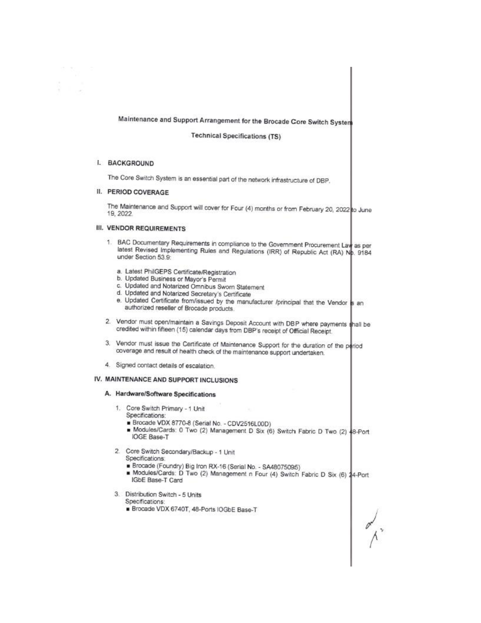# Maintenance and Support Arrangement for the Brocade Core Switch System

**Technical Specifications (TS)** 

### I. BACKGROUND

The Core Switch System is an essential part of the network infrastructure of DBP.

### II. PERIOD COVERAGE

The Maintenance and Support will cover for Four (4) months or from February 20, 2022 to June 19, 2022.

# **III. VENDOR REQUIREMENTS**

- 1. BAC Documentary Requirements in compliance to the Government Procurement Law as per latest Revised Implementing Rules and Regulations (IRR) of Republic Act (RA) Np. 9184 under Section 53.9:
	- a. Latest PhilGEPS Certificate/Registration
	- b. Updated Business or Mayor's Permit
	- c. Updated and Notarized Omnibus Sworn Statement
	- d. Updated and Notarized Secretary's Certificate
	- e. Updated Certificate from/issued by the manufacturer /principal that the Vendor is an authorized reseller of Brocade products.
- 2. Vendor must open/maintain a Savings Deposit Account with DBP where payments shall be credited within fifteen (15) calendar days from DBP's receipt of Official Receipt.
- 3. Vendor must issue the Certificate of Maintenance Support for the duration of the poriod coverage and result of health check of the maintenance support undertaken.
- 4. Signed contact details of escalation.

# IV. MAINTENANCE AND SUPPORT INCLUSIONS

# A. Hardware/Software Specifications

- 1. Core Switch Primary 1 Unit
	- Specifications:
	- Brocade VDX 8770-8 (Serial No. CDV2516L00D)
	- Modules/Cards: 0 Two (2) Management D Six (6) Switch Fabric D Two (2) 48-Port **IOGE Base-T**
- 2. Core Switch Secondary/Backup 1 Unit

Specifications:

- Brocade (Foundry) Big Iron RX-16 (Serial No. SA48075095)
- Modules/Cards: D Two (2) Management n Four (4) Switch Fabric D Six (6) 24-Port IGbE Base-T Card
- 3. Distribution Switch 5 Units
	- Specifications:
	- Brocade VDX 6740T, 48-Ports IOGbE Base-T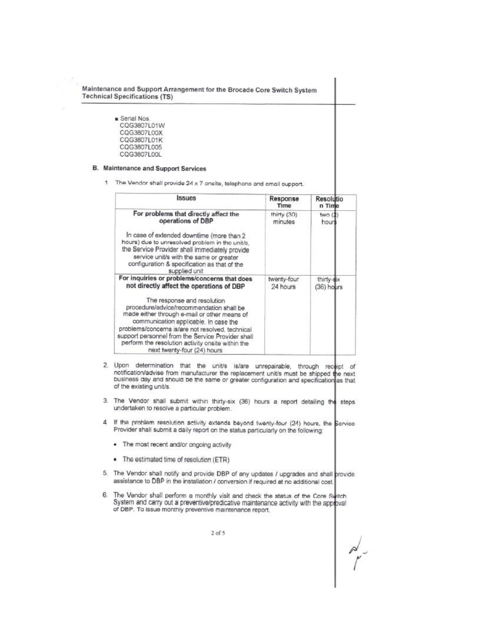Maintenance and Support Arrangement for the Brocade Core Switch System **Technical Specifications (TS)** 

> Serial Nos. CQG3807L01W CQG3807L00X CQG3807L01K CQG3807L005 CQG3807L00L

#### **B.** Maintenance and Support Services

1 The Vendor shall provide 24 x 7 onsite, telephone and email support.

| <b>Issues</b>                                                                                                                                                                                                                                                                                                     | Response<br>Time        | Resolutio<br>n Time      |
|-------------------------------------------------------------------------------------------------------------------------------------------------------------------------------------------------------------------------------------------------------------------------------------------------------------------|-------------------------|--------------------------|
| For problems that directly affect the<br>operations of DBP                                                                                                                                                                                                                                                        | thirty (30)<br>minutes  | two (1<br>hour           |
| In case of extended downtime (more than 2<br>hours) due to unresolved problem in the unit/s.<br>the Service Provider shall immediately provide<br>service unit/s with the same or greater<br>configuration & specification as that of the<br>supplied unit                                                        |                         |                          |
| For inquiries or problems/concerns that does<br>not directly affect the operations of DBP<br>The response and resolution<br>procedure/advice/recommendation shall be<br>made either through e-mail or other means of<br>communication applicable. In case the<br>problems/concerns is/are not resolved, technical | twenty-four<br>24 hours | thirty-six<br>(36) hours |
| support personnel from the Service Provider shall<br>perform the resolution activity onsite within the<br>next twenty-four (24) hours                                                                                                                                                                             |                         |                          |

- 2. Upon determination that the unit/s is/are unrepairable, through receipt of notification/advise from manufacturer the replacement unit/s must be shipped the next business day and should be the same or greater configuration and specification as that of the existing unit/s.
- 3. The Vendor shall submit within thirty-six (36) hours a report detailing the steps undertaken to resolve a particular problem.
- 4 If the problem resolution activity extends beyond twenty-four (24) hours, the Service Provider shall submit a daily report on the status particularly on the following:
	- The most recent and/or ongoing activity
	- The estimated time of resolution (ETR)
- 5. The Vendor shall notify and provide DBP of any updates / upgrades and shall provide assistance to DBP in the installation / conversion if required at no additional cost.
- 6. The Vendor shall perform a monthly visit and check the status of the Core Switch System and carry out a preventive/predicative maintenance activity with the approval of DBP. To issue monthly preventive maintenance report.

 $2$  of 5

 $m_{\mu}^{2}$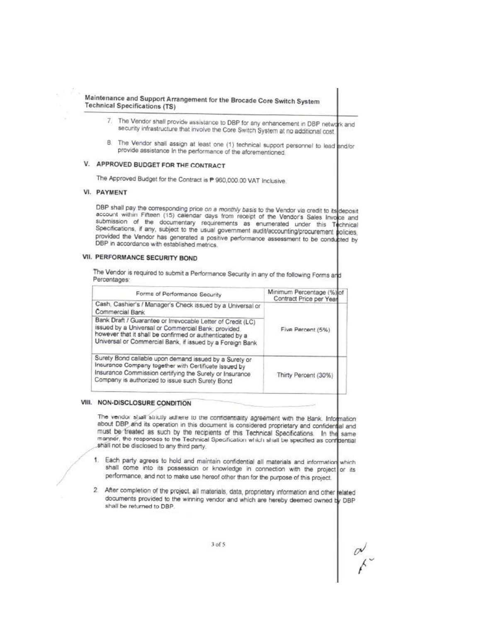Maintenance and Support Arrangement for the Brocade Core Switch System **Technical Specifications (TS)** 

- 7. The Vendor shall provide assistance to DBP for any enhancement in DBP network and security infrastructure that involve the Core Switch System at no additional cost
- 8. The Vendor shall assign at least one (1) technical support personnel to lead and/or provide assistance In the performance of the aforementioned.

# V. APPROVED BUDGET FOR THE CONTRACT

The Approved Budget for the Contract is P 960,000.00 VAT Inclusive.

# **VI. PAYMENT**

DBP shall pay the corresponding price on a monthly basis to the Vendor via credit to its deposit account within Fifteen (15) calendar days from receipt of the Vendor's Sales Invoice and submission of the documentary requirements as enumerated under this Technical Specifications, if any, subject to the usual government audit/accounting/procurement policies, provided the Vendor has generated a positive performance assessment to be conducted by DBP in accordance with established metrics.

### VII. PERFORMANCE SECURITY BOND

The Vendor is required to submit a Performance Security in any of the following Forms and Percentages:

| Forms of Performance Security                                                                                                                                                                                                              | Minimum Percentage (%) of<br>Contract Price per Year |  |
|--------------------------------------------------------------------------------------------------------------------------------------------------------------------------------------------------------------------------------------------|------------------------------------------------------|--|
| Cash, Cashier's / Manager's Check issued by a Universal or<br>Commercial Bank                                                                                                                                                              |                                                      |  |
| Bank Draft / Guarantee or Irrevocable Letter of Credit (LC)<br>issued by a Universal or Commercial Bank; provided<br>however that it shall be confirmed or authenticated by a<br>Universal or Commercial Bank, if issued by a Foreign Bank | Five Percent (5%)                                    |  |
| Surety Bond callable upon demand issued by a Surety or<br>Insurance Company together with Certificate issued by<br>Insurance Commission certifying the Surety or Insurance<br>Company is authorized to issue such Surety Bond              | Thirty Percent (30%)                                 |  |

### VIII. NON-DISCLOSURE CONDITION

The vendor shall strictly adhere to the confidentiality agreement with the Bank. Information about DBP and its operation in this document is considered proprietary and confidental and must be treated as such by the recipients of this Technical Specifications. In the same manner, the responses to the Technical Specification which shall be specified as configential shall not be disclosed to any third party.

- 1. Each party agrees to hold and maintain confidential all materials and information which shall come into its possession or knowledge in connection with the project or its performance, and not to make use hereof other than for the purpose of this project.
- $\overline{2}$ . After completion of the project, all materials, data, proprietary information and other related documents provided to the winning vendor and which are hereby deemed owned by DBP shall be returned to DBP.